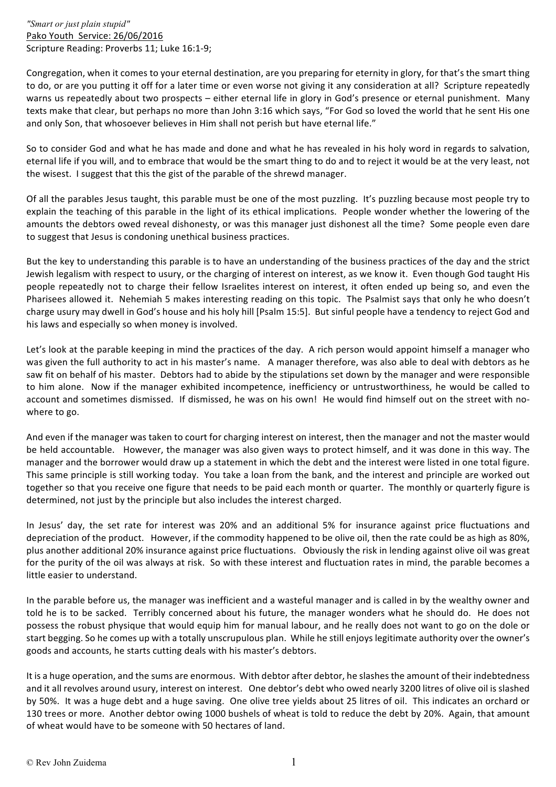*"Smart or just plain stupid"* Pako Youth Service: 26/06/2016 Scripture Reading: Proverbs 11; Luke 16:1-9;

Congregation, when it comes to your eternal destination, are you preparing for eternity in glory, for that's the smart thing to do, or are you putting it off for a later time or even worse not giving it any consideration at all? Scripture repeatedly warns us repeatedly about two prospects – either eternal life in glory in God's presence or eternal punishment. Many texts make that clear, but perhaps no more than John 3:16 which says, "For God so loved the world that he sent His one and only Son, that whosoever believes in Him shall not perish but have eternal life."

So to consider God and what he has made and done and what he has revealed in his holy word in regards to salvation, eternal life if you will, and to embrace that would be the smart thing to do and to reject it would be at the very least, not the wisest. I suggest that this the gist of the parable of the shrewd manager.

Of all the parables Jesus taught, this parable must be one of the most puzzling. It's puzzling because most people try to explain the teaching of this parable in the light of its ethical implications. People wonder whether the lowering of the amounts the debtors owed reveal dishonesty, or was this manager just dishonest all the time? Some people even dare to suggest that Jesus is condoning unethical business practices.

But the key to understanding this parable is to have an understanding of the business practices of the day and the strict Jewish legalism with respect to usury, or the charging of interest on interest, as we know it. Even though God taught His people repeatedly not to charge their fellow Israelites interest on interest, it often ended up being so, and even the Pharisees allowed it. Nehemiah 5 makes interesting reading on this topic. The Psalmist says that only he who doesn't charge usury may dwell in God's house and his holy hill [Psalm 15:5]. But sinful people have a tendency to reject God and his laws and especially so when money is involved.

Let's look at the parable keeping in mind the practices of the day. A rich person would appoint himself a manager who was given the full authority to act in his master's name. A manager therefore, was also able to deal with debtors as he saw fit on behalf of his master. Debtors had to abide by the stipulations set down by the manager and were responsible to him alone. Now if the manager exhibited incompetence, inefficiency or untrustworthiness, he would be called to account and sometimes dismissed. If dismissed, he was on his own! He would find himself out on the street with nowhere to go.

And even if the manager was taken to court for charging interest on interest, then the manager and not the master would be held accountable. However, the manager was also given ways to protect himself, and it was done in this way. The manager and the borrower would draw up a statement in which the debt and the interest were listed in one total figure. This same principle is still working today. You take a loan from the bank, and the interest and principle are worked out together so that you receive one figure that needs to be paid each month or quarter. The monthly or quarterly figure is determined, not just by the principle but also includes the interest charged.

In Jesus' day, the set rate for interest was 20% and an additional 5% for insurance against price fluctuations and depreciation of the product. However, if the commodity happened to be olive oil, then the rate could be as high as 80%, plus another additional 20% insurance against price fluctuations. Obviously the risk in lending against olive oil was great for the purity of the oil was always at risk. So with these interest and fluctuation rates in mind, the parable becomes a little easier to understand.

In the parable before us, the manager was inefficient and a wasteful manager and is called in by the wealthy owner and told he is to be sacked. Terribly concerned about his future, the manager wonders what he should do. He does not possess the robust physique that would equip him for manual labour, and he really does not want to go on the dole or start begging. So he comes up with a totally unscrupulous plan. While he still enjoys legitimate authority over the owner's goods and accounts, he starts cutting deals with his master's debtors.

It is a huge operation, and the sums are enormous. With debtor after debtor, he slashes the amount of their indebtedness and it all revolves around usury, interest on interest. One debtor's debt who owed nearly 3200 litres of olive oil is slashed by 50%. It was a huge debt and a huge saving. One olive tree yields about 25 litres of oil. This indicates an orchard or 130 trees or more. Another debtor owing 1000 bushels of wheat is told to reduce the debt by 20%. Again, that amount of wheat would have to be someone with 50 hectares of land.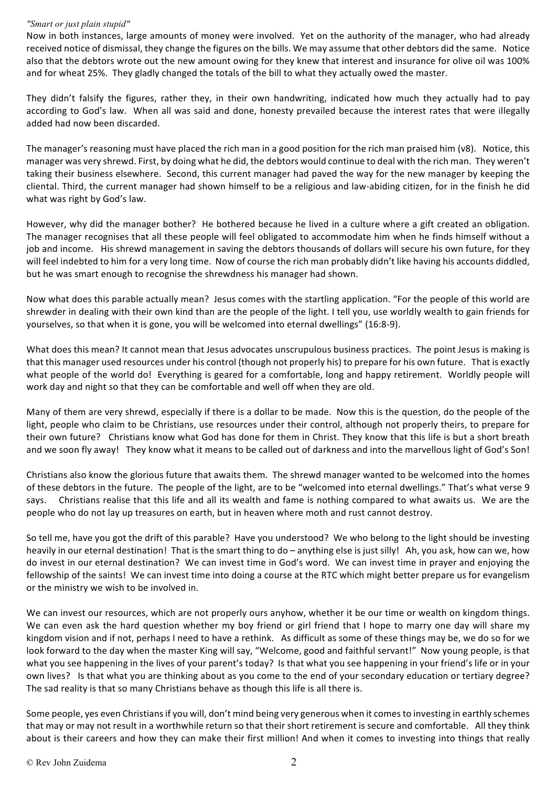## *"Smart or just plain stupid"*

Now in both instances, large amounts of money were involved. Yet on the authority of the manager, who had already received notice of dismissal, they change the figures on the bills. We may assume that other debtors did the same. Notice also that the debtors wrote out the new amount owing for they knew that interest and insurance for olive oil was 100% and for wheat 25%. They gladly changed the totals of the bill to what they actually owed the master.

They didn't falsify the figures, rather they, in their own handwriting, indicated how much they actually had to pay according to God's law. When all was said and done, honesty prevailed because the interest rates that were illegally added had now been discarded.

The manager's reasoning must have placed the rich man in a good position for the rich man praised him (v8). Notice, this manager was very shrewd. First, by doing what he did, the debtors would continue to deal with the rich man. They weren't taking their business elsewhere. Second, this current manager had paved the way for the new manager by keeping the cliental. Third, the current manager had shown himself to be a religious and law-abiding citizen, for in the finish he did what was right by God's law.

However, why did the manager bother? He bothered because he lived in a culture where a gift created an obligation. The manager recognises that all these people will feel obligated to accommodate him when he finds himself without a job and income. His shrewd management in saving the debtors thousands of dollars will secure his own future, for they will feel indebted to him for a very long time. Now of course the rich man probably didn't like having his accounts diddled, but he was smart enough to recognise the shrewdness his manager had shown.

Now what does this parable actually mean? Jesus comes with the startling application. "For the people of this world are shrewder in dealing with their own kind than are the people of the light. I tell you, use worldly wealth to gain friends for yourselves, so that when it is gone, you will be welcomed into eternal dwellings" (16:8-9).

What does this mean? It cannot mean that Jesus advocates unscrupulous business practices. The point Jesus is making is that this manager used resources under his control (though not properly his) to prepare for his own future. That is exactly what people of the world do! Everything is geared for a comfortable, long and happy retirement. Worldly people will work day and night so that they can be comfortable and well off when they are old.

Many of them are very shrewd, especially if there is a dollar to be made. Now this is the question, do the people of the light, people who claim to be Christians, use resources under their control, although not properly theirs, to prepare for their own future? Christians know what God has done for them in Christ. They know that this life is but a short breath and we soon fly away! They know what it means to be called out of darkness and into the marvellous light of God's Son!

Christians also know the glorious future that awaits them. The shrewd manager wanted to be welcomed into the homes of these debtors in the future. The people of the light, are to be "welcomed into eternal dwellings." That's what verse 9 says. Christians realise that this life and all its wealth and fame is nothing compared to what awaits us. We are the people who do not lay up treasures on earth, but in heaven where moth and rust cannot destroy.

So tell me, have you got the drift of this parable? Have you understood? We who belong to the light should be investing heavily in our eternal destination! That is the smart thing to do – anything else is just silly! Ah, you ask, how can we, how do invest in our eternal destination? We can invest time in God's word. We can invest time in prayer and enjoying the fellowship of the saints! We can invest time into doing a course at the RTC which might better prepare us for evangelism or the ministry we wish to be involved in.

We can invest our resources, which are not properly ours anyhow, whether it be our time or wealth on kingdom things. We can even ask the hard question whether my boy friend or girl friend that I hope to marry one day will share my kingdom vision and if not, perhaps I need to have a rethink. As difficult as some of these things may be, we do so for we look forward to the day when the master King will say, "Welcome, good and faithful servant!" Now young people, is that what you see happening in the lives of your parent's today? Is that what you see happening in your friend's life or in your own lives? Is that what you are thinking about as you come to the end of your secondary education or tertiary degree? The sad reality is that so many Christians behave as though this life is all there is.

Some people, yes even Christians if you will, don't mind being very generous when it comes to investing in earthly schemes that may or may not result in a worthwhile return so that their short retirement is secure and comfortable. All they think about is their careers and how they can make their first million! And when it comes to investing into things that really